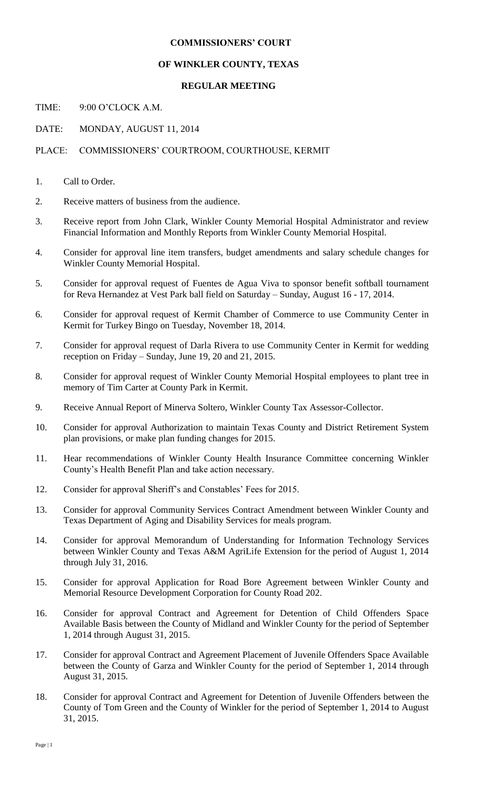## **COMMISSIONERS' COURT**

## **OF WINKLER COUNTY, TEXAS**

## **REGULAR MEETING**

TIME: 9:00 O'CLOCK A.M.

DATE: MONDAY, AUGUST 11, 2014

## PLACE: COMMISSIONERS' COURTROOM, COURTHOUSE, KERMIT

- 1. Call to Order.
- 2. Receive matters of business from the audience.
- 3. Receive report from John Clark, Winkler County Memorial Hospital Administrator and review Financial Information and Monthly Reports from Winkler County Memorial Hospital.
- 4. Consider for approval line item transfers, budget amendments and salary schedule changes for Winkler County Memorial Hospital.
- 5. Consider for approval request of Fuentes de Agua Viva to sponsor benefit softball tournament for Reva Hernandez at Vest Park ball field on Saturday – Sunday, August 16 - 17, 2014.
- 6. Consider for approval request of Kermit Chamber of Commerce to use Community Center in Kermit for Turkey Bingo on Tuesday, November 18, 2014.
- 7. Consider for approval request of Darla Rivera to use Community Center in Kermit for wedding reception on Friday – Sunday, June 19, 20 and 21, 2015.
- 8. Consider for approval request of Winkler County Memorial Hospital employees to plant tree in memory of Tim Carter at County Park in Kermit.
- 9. Receive Annual Report of Minerva Soltero, Winkler County Tax Assessor-Collector.
- 10. Consider for approval Authorization to maintain Texas County and District Retirement System plan provisions, or make plan funding changes for 2015.
- 11. Hear recommendations of Winkler County Health Insurance Committee concerning Winkler County's Health Benefit Plan and take action necessary.
- 12. Consider for approval Sheriff's and Constables' Fees for 2015.
- 13. Consider for approval Community Services Contract Amendment between Winkler County and Texas Department of Aging and Disability Services for meals program.
- 14. Consider for approval Memorandum of Understanding for Information Technology Services between Winkler County and Texas A&M AgriLife Extension for the period of August 1, 2014 through July 31, 2016.
- 15. Consider for approval Application for Road Bore Agreement between Winkler County and Memorial Resource Development Corporation for County Road 202.
- 16. Consider for approval Contract and Agreement for Detention of Child Offenders Space Available Basis between the County of Midland and Winkler County for the period of September 1, 2014 through August 31, 2015.
- 17. Consider for approval Contract and Agreement Placement of Juvenile Offenders Space Available between the County of Garza and Winkler County for the period of September 1, 2014 through August 31, 2015.
- 18. Consider for approval Contract and Agreement for Detention of Juvenile Offenders between the County of Tom Green and the County of Winkler for the period of September 1, 2014 to August 31, 2015.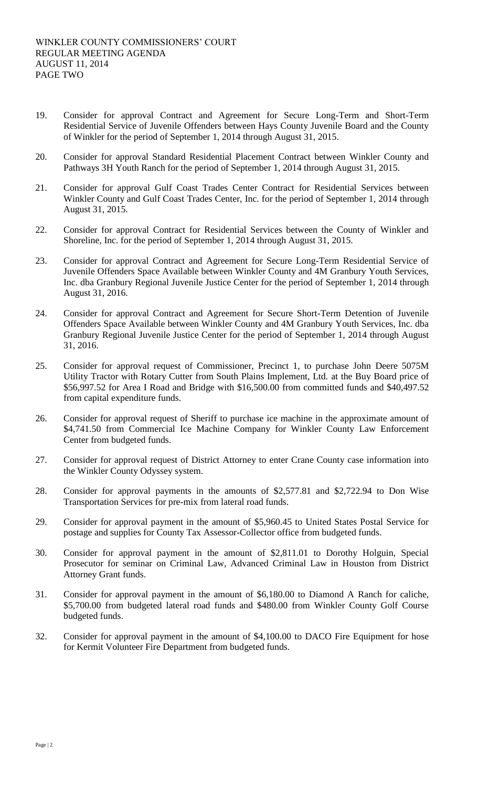- 19. Consider for approval Contract and Agreement for Secure Long-Term and Short-Term Residential Service of Juvenile Offenders between Hays County Juvenile Board and the County of Winkler for the period of September 1, 2014 through August 31, 2015.
- 20. Consider for approval Standard Residential Placement Contract between Winkler County and Pathways 3H Youth Ranch for the period of September 1, 2014 through August 31, 2015.
- 21. Consider for approval Gulf Coast Trades Center Contract for Residential Services between Winkler County and Gulf Coast Trades Center, Inc. for the period of September 1, 2014 through August 31, 2015.
- 22. Consider for approval Contract for Residential Services between the County of Winkler and Shoreline, Inc. for the period of September 1, 2014 through August 31, 2015.
- 23. Consider for approval Contract and Agreement for Secure Long-Term Residential Service of Juvenile Offenders Space Available between Winkler County and 4M Granbury Youth Services, Inc. dba Granbury Regional Juvenile Justice Center for the period of September 1, 2014 through August 31, 2016.
- 24. Consider for approval Contract and Agreement for Secure Short-Term Detention of Juvenile Offenders Space Available between Winkler County and 4M Granbury Youth Services, Inc. dba Granbury Regional Juvenile Justice Center for the period of September 1, 2014 through August 31, 2016.
- 25. Consider for approval request of Commissioner, Precinct 1, to purchase John Deere 5075M Utility Tractor with Rotary Cutter from South Plains Implement, Ltd. at the Buy Board price of \$56,997.52 for Area I Road and Bridge with \$16,500.00 from committed funds and \$40,497.52 from capital expenditure funds.
- 26. Consider for approval request of Sheriff to purchase ice machine in the approximate amount of \$4,741.50 from Commercial Ice Machine Company for Winkler County Law Enforcement Center from budgeted funds.
- 27. Consider for approval request of District Attorney to enter Crane County case information into the Winkler County Odyssey system.
- 28. Consider for approval payments in the amounts of \$2,577.81 and \$2,722.94 to Don Wise Transportation Services for pre-mix from lateral road funds.
- 29. Consider for approval payment in the amount of \$5,960.45 to United States Postal Service for postage and supplies for County Tax Assessor-Collector office from budgeted funds.
- 30. Consider for approval payment in the amount of \$2,811.01 to Dorothy Holguin, Special Prosecutor for seminar on Criminal Law, Advanced Criminal Law in Houston from District Attorney Grant funds.
- 31. Consider for approval payment in the amount of \$6,180.00 to Diamond A Ranch for caliche, \$5,700.00 from budgeted lateral road funds and \$480.00 from Winkler County Golf Course budgeted funds.
- 32. Consider for approval payment in the amount of \$4,100.00 to DACO Fire Equipment for hose for Kermit Volunteer Fire Department from budgeted funds.